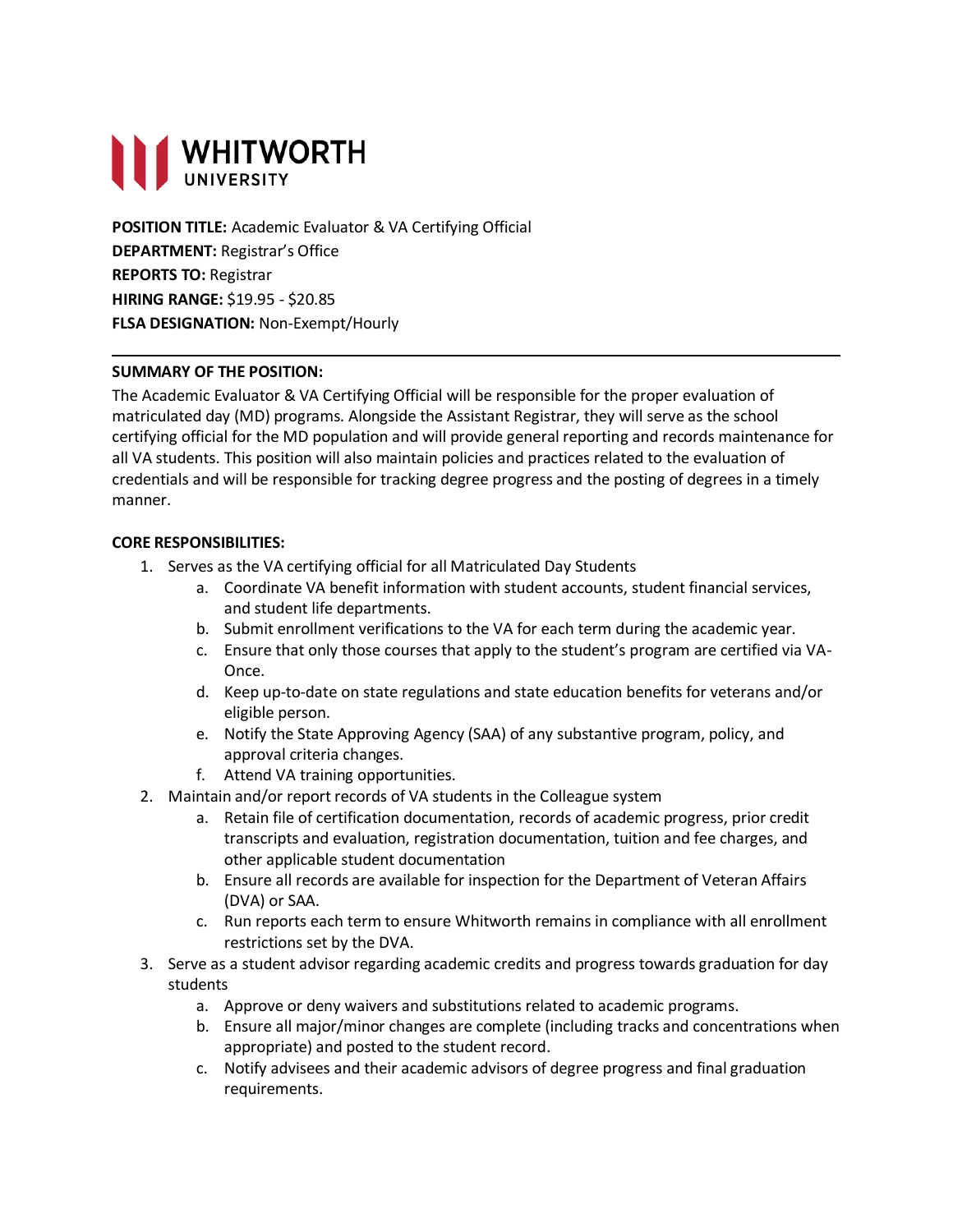

**POSITION TITLE:** Academic Evaluator & VA Certifying Official **DEPARTMENT:** Registrar's Office **REPORTS TO:** Registrar **HIRING RANGE:** \$19.95 - \$20.85 **FLSA DESIGNATION:** Non-Exempt/Hourly

### **SUMMARY OF THE POSITION:**

The Academic Evaluator & VA Certifying Official will be responsible for the proper evaluation of matriculated day (MD) programs. Alongside the Assistant Registrar, they will serve as the school certifying official for the MD population and will provide general reporting and records maintenance for all VA students. This position will also maintain policies and practices related to the evaluation of credentials and will be responsible for tracking degree progress and the posting of degrees in a timely manner.

### **CORE RESPONSIBILITIES:**

- 1. Serves as the VA certifying official for all Matriculated Day Students
	- a. Coordinate VA benefit information with student accounts, student financial services, and student life departments.
	- b. Submit enrollment verifications to the VA for each term during the academic year.
	- c. Ensure that only those courses that apply to the student's program are certified via VA-Once.
	- d. Keep up-to-date on state regulations and state education benefits for veterans and/or eligible person.
	- e. Notify the State Approving Agency (SAA) of any substantive program, policy, and approval criteria changes.
	- f. Attend VA training opportunities.
- 2. Maintain and/or report records of VA students in the Colleague system
	- a. Retain file of certification documentation, records of academic progress, prior credit transcripts and evaluation, registration documentation, tuition and fee charges, and other applicable student documentation
	- b. Ensure all records are available for inspection for the Department of Veteran Affairs (DVA) or SAA.
	- c. Run reports each term to ensure Whitworth remains in compliance with all enrollment restrictions set by the DVA.
- 3. Serve as a student advisor regarding academic credits and progress towards graduation for day students
	- a. Approve or deny waivers and substitutions related to academic programs.
	- b. Ensure all major/minor changes are complete (including tracks and concentrations when appropriate) and posted to the student record.
	- c. Notify advisees and their academic advisors of degree progress and final graduation requirements.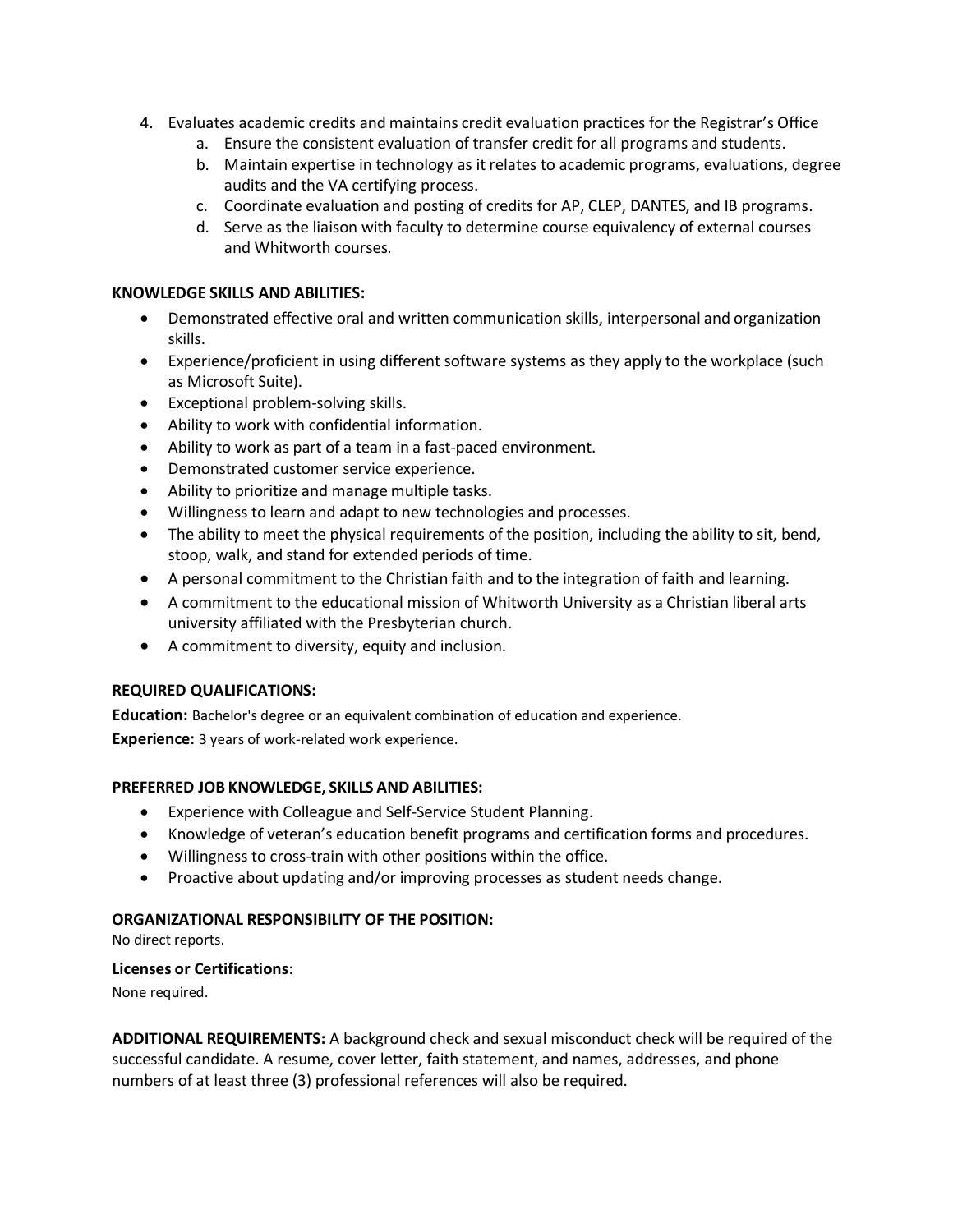- 4. Evaluates academic credits and maintains credit evaluation practices for the Registrar's Office
	- a. Ensure the consistent evaluation of transfer credit for all programs and students.
	- b. Maintain expertise in technology as it relates to academic programs, evaluations, degree audits and the VA certifying process.
	- c. Coordinate evaluation and posting of credits for AP, CLEP, DANTES, and IB programs.
	- d. Serve as the liaison with faculty to determine course equivalency of external courses and Whitworth courses.

#### **KNOWLEDGE SKILLS AND ABILITIES:**

- Demonstrated effective oral and written communication skills, interpersonal and organization skills.
- Experience/proficient in using different software systems as they apply to the workplace (such as Microsoft Suite).
- Exceptional problem-solving skills.
- Ability to work with confidential information.
- Ability to work as part of a team in a fast-paced environment.
- Demonstrated customer service experience.
- Ability to prioritize and manage multiple tasks.
- Willingness to learn and adapt to new technologies and processes.
- The ability to meet the physical requirements of the position, including the ability to sit, bend, stoop, walk, and stand for extended periods of time.
- A personal commitment to the Christian faith and to the integration of faith and learning.
- A commitment to the educational mission of Whitworth University as a Christian liberal arts university affiliated with the Presbyterian church.
- A commitment to diversity, equity and inclusion.

### **REQUIRED QUALIFICATIONS:**

**Education:** Bachelor's degree or an equivalent combination of education and experience. **Experience:** 3 years of work-related work experience.

### **PREFERRED JOB KNOWLEDGE, SKILLS AND ABILITIES:**

- Experience with Colleague and Self-Service Student Planning.
- Knowledge of veteran's education benefit programs and certification forms and procedures.
- Willingness to cross-train with other positions within the office.
- Proactive about updating and/or improving processes as student needs change.

### **ORGANIZATIONAL RESPONSIBILITY OF THE POSITION:**

No direct reports.

### **Licenses or Certifications**:

None required.

**ADDITIONAL REQUIREMENTS:** A background check and sexual misconduct check will be required of the successful candidate. A resume, cover letter, faith statement, and names, addresses, and phone numbers of at least three (3) professional references will also be required.